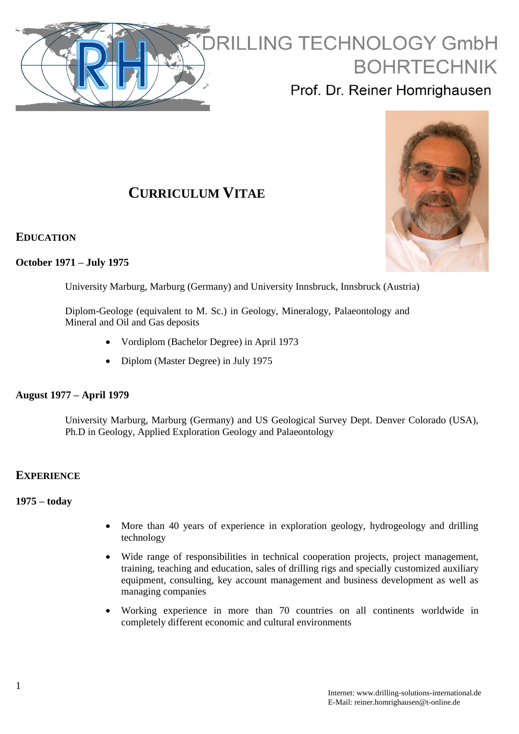

# **RILLING TECHNOLOGY GmbH BOHRTECHNIK**

Prof. Dr. Reiner Homrighausen

# **CURRICULUM VITAE**

**EDUCATION**

# **October 1971 – July 1975**

University Marburg, Marburg (Germany) and University Innsbruck, Innsbruck (Austria)

Diplom-Geologe (equivalent to M. Sc.) in Geology, Mineralogy, Palaeontology and Mineral and Oil and Gas deposits

- Vordiplom (Bachelor Degree) in April 1973
- Diplom (Master Degree) in July 1975

# **August 1977 – April 1979**

University Marburg, Marburg (Germany) and US Geological Survey Dept. Denver Colorado (USA), Ph.D in Geology, Applied Exploration Geology and Palaeontology

# **EXPERIENCE**

# **1975 – today**

- More than 40 years of experience in exploration geology, hydrogeology and drilling technology
- Wide range of responsibilities in technical cooperation projects, project management, training, teaching and education, sales of drilling rigs and specially customized auxiliary equipment, consulting, key account management and business development as well as managing companies
- Working experience in more than 70 countries on all continents worldwide in completely different economic and cultural environments

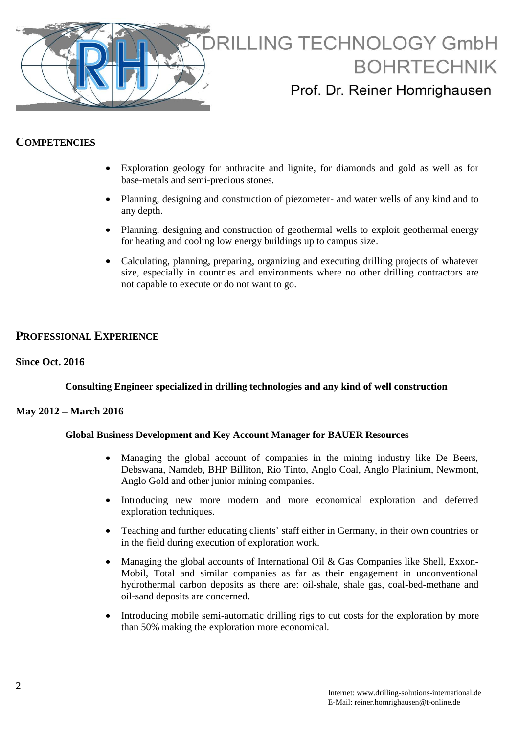

# **COMPETENCIES**

- Exploration geology for anthracite and lignite, for diamonds and gold as well as for base-metals and semi-precious stones*.*
- Planning, designing and construction of piezometer- and water wells of any kind and to any depth.
- Planning, designing and construction of geothermal wells to exploit geothermal energy for heating and cooling low energy buildings up to campus size.
- Calculating, planning, preparing, organizing and executing drilling projects of whatever size, especially in countries and environments where no other drilling contractors are not capable to execute or do not want to go.

# **PROFESSIONAL EXPERIENCE**

# **Since Oct. 2016**

# **Consulting Engineer specialized in drilling technologies and any kind of well construction**

# **May 2012 – March 2016**

# **Global Business Development and Key Account Manager for BAUER Resources**

- Managing the global account of companies in the mining industry like De Beers, Debswana, Namdeb, BHP Billiton, Rio Tinto, Anglo Coal, Anglo Platinium, Newmont, Anglo Gold and other junior mining companies.
- Introducing new more modern and more economical exploration and deferred exploration techniques.
- Teaching and further educating clients' staff either in Germany, in their own countries or in the field during execution of exploration work.
- Managing the global accounts of International Oil & Gas Companies like Shell, Exxon-Mobil, Total and similar companies as far as their engagement in unconventional hydrothermal carbon deposits as there are: oil-shale, shale gas, coal-bed-methane and oil-sand deposits are concerned.
- Introducing mobile semi-automatic drilling rigs to cut costs for the exploration by more than 50% making the exploration more economical.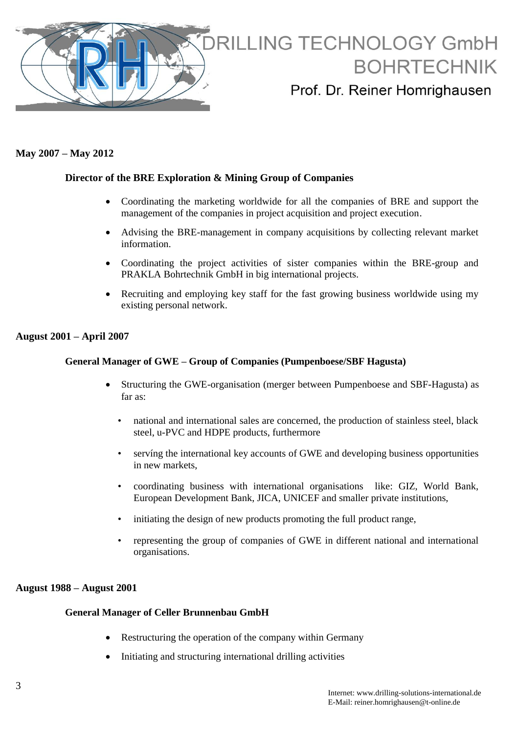

# **May 2007 – May 2012**

# **Director of the BRE Exploration & Mining Group of Companies**

- Coordinating the marketing worldwide for all the companies of BRE and support the management of the companies in project acquisition and project execution.
- Advising the BRE-management in company acquisitions by collecting relevant market information.
- Coordinating the project activities of sister companies within the BRE-group and PRAKLA Bohrtechnik GmbH in big international projects.
- Recruiting and employing key staff for the fast growing business worldwide using my existing personal network.

#### **August 2001 – April 2007**

#### **General Manager of GWE – Group of Companies (Pumpenboese/SBF Hagusta)**

- Structuring the GWE-organisation (merger between Pumpenboese and SBF-Hagusta) as far as:
	- national and international sales are concerned, the production of stainless steel, black steel, u-PVC and HDPE products, furthermore
	- servíng the international key accounts of GWE and developing business opportunities in new markets,
	- coordinating business with international organisations like: GIZ, World Bank, European Development Bank, JICA, UNICEF and smaller private institutions,
	- initiating the design of new products promoting the full product range,
	- representing the group of companies of GWE in different national and international organisations.

# **August 1988 – August 2001**

#### **General Manager of Celler Brunnenbau GmbH**

- Restructuring the operation of the company within Germany
- Initiating and structuring international drilling activities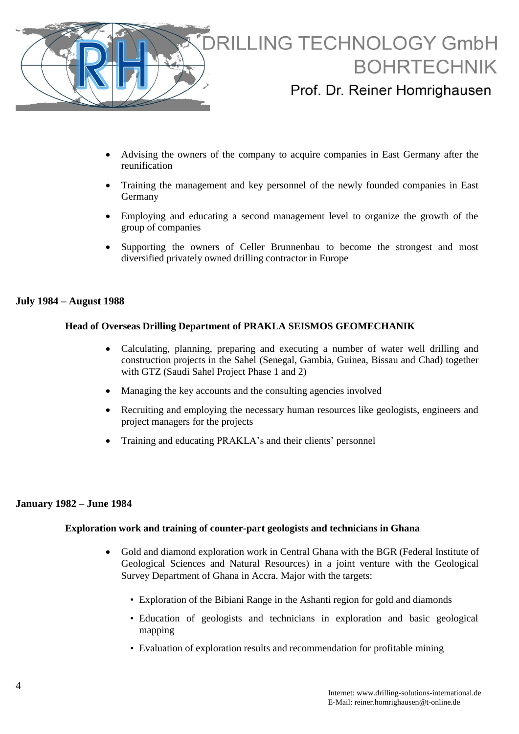

- Advising the owners of the company to acquire companies in East Germany after the reunification
- Training the management and key personnel of the newly founded companies in East Germany
- Employing and educating a second management level to organize the growth of the group of companies
- Supporting the owners of Celler Brunnenbau to become the strongest and most diversified privately owned drilling contractor in Europe

#### **July 1984 – August 1988**

#### **Head of Overseas Drilling Department of PRAKLA SEISMOS GEOMECHANIK**

- Calculating, planning, preparing and executing a number of water well drilling and construction projects in the Sahel (Senegal, Gambia, Guinea, Bissau and Chad) together with GTZ (Saudi Sahel Project Phase 1 and 2)
- Managing the key accounts and the consulting agencies involved
- Recruiting and employing the necessary human resources like geologists, engineers and project managers for the projects
- Training and educating PRAKLA's and their clients' personnel

# **January 1982 – June 1984**

#### **Exploration work and training of counter-part geologists and technicians in Ghana**

- Gold and diamond exploration work in Central Ghana with the BGR (Federal Institute of Geological Sciences and Natural Resources) in a joint venture with the Geological Survey Department of Ghana in Accra. Major with the targets:
	- Exploration of the Bibiani Range in the Ashanti region for gold and diamonds
	- Education of geologists and technicians in exploration and basic geological mapping
	- Evaluation of exploration results and recommendation for profitable mining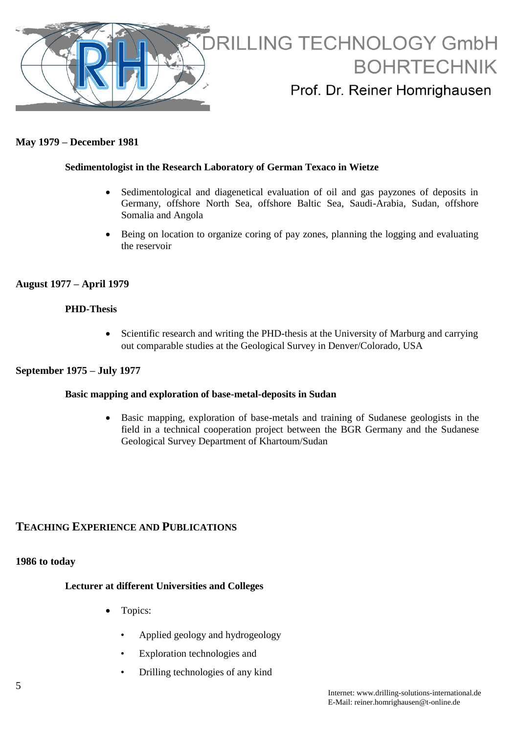

# **May 1979 – December 1981**

# **Sedimentologist in the Research Laboratory of German Texaco in Wietze**

- Sedimentological and diagenetical evaluation of oil and gas payzones of deposits in Germany, offshore North Sea, offshore Baltic Sea, Saudi-Arabia, Sudan, offshore Somalia and Angola
- Being on location to organize coring of pay zones, planning the logging and evaluating the reservoir

# **August 1977 – April 1979**

#### **PHD-Thesis**

• Scientific research and writing the PHD-thesis at the University of Marburg and carrying out comparable studies at the Geological Survey in Denver/Colorado, USA

### **September 1975 – July 1977**

#### **Basic mapping and exploration of base-metal-deposits in Sudan**

 Basic mapping, exploration of base-metals and training of Sudanese geologists in the field in a technical cooperation project between the BGR Germany and the Sudanese Geological Survey Department of Khartoum/Sudan

# **TEACHING EXPERIENCE AND PUBLICATIONS**

# **1986 to today**

# **Lecturer at different Universities and Colleges**

- Topics:
	- Applied geology and hydrogeology
	- Exploration technologies and
	- Drilling technologies of any kind